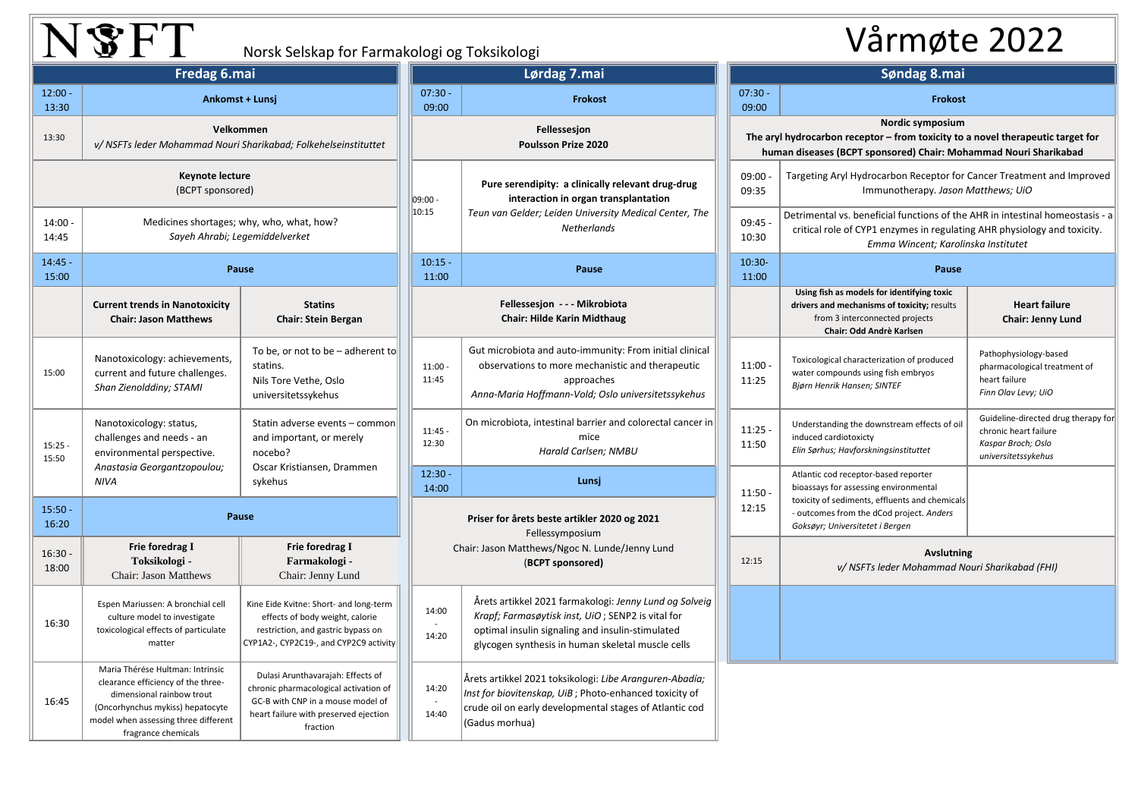## NSFT

## Norsk Selskap for Farmakologi og Toksikologi Vårmøte 2022

| Fredag 6.mai                        |                                                                                                                                                                                                        |                                                                                                                                                                      | Lørdag 7.mai                        |                                                                                                                                                                                                                      |                                                                                                                    | Søndag 8.mai       |                                                                                                                                                         |  |
|-------------------------------------|--------------------------------------------------------------------------------------------------------------------------------------------------------------------------------------------------------|----------------------------------------------------------------------------------------------------------------------------------------------------------------------|-------------------------------------|----------------------------------------------------------------------------------------------------------------------------------------------------------------------------------------------------------------------|--------------------------------------------------------------------------------------------------------------------|--------------------|---------------------------------------------------------------------------------------------------------------------------------------------------------|--|
| $12:00 -$<br>13:30                  |                                                                                                                                                                                                        | $07:30 -$<br>Ankomst + Lunsi<br>09:00                                                                                                                                |                                     | Frokost                                                                                                                                                                                                              |                                                                                                                    | $07:30 -$<br>09:00 | Frokost                                                                                                                                                 |  |
| 13:30                               | Velkommen<br>v/ NSFTs leder Mohammad Nouri Sharikabad; Folkehelseinstituttet                                                                                                                           |                                                                                                                                                                      | Fellessesjon<br>Poulsson Prize 2020 |                                                                                                                                                                                                                      | Nordic symposium<br>The aryl hydrocarbon receptor - from toxicity to<br>human diseases (BCPT sponsored) Chair: Mol |                    |                                                                                                                                                         |  |
| Keynote lecture<br>(BCPT sponsored) |                                                                                                                                                                                                        |                                                                                                                                                                      | 09:00 -                             | Pure serendipity: a clinically relevant drug-drug<br>interaction in organ transplantation                                                                                                                            |                                                                                                                    | 09:00<br>09:35     | Targeting Aryl Hydrocarbon Receptor for<br>Immunotherapy. Jason                                                                                         |  |
| $14:00 -$<br>14:45                  | Medicines shortages; why, who, what, how?<br>Sayeh Ahrabi; Legemiddelverket                                                                                                                            |                                                                                                                                                                      | 10:15                               | Teun van Gelder; Leiden University Medical Center, The<br>Netherlands                                                                                                                                                |                                                                                                                    | 09:45<br>10:30     | Detrimental vs. beneficial functions of the<br>critical role of CYP1 enzymes in regulati<br>Emma Wincent; Karol                                         |  |
| $14:45 -$<br>15:00                  |                                                                                                                                                                                                        | Pause                                                                                                                                                                |                                     | Pause                                                                                                                                                                                                                |                                                                                                                    | $10:30-$<br>11:00  | Pause                                                                                                                                                   |  |
|                                     | <b>Current trends in Nanotoxicity</b><br><b>Chair: Jason Matthews</b>                                                                                                                                  | <b>Statins</b><br><b>Chair: Stein Bergan</b>                                                                                                                         |                                     | Fellessesjon - - - Mikrobiota<br><b>Chair: Hilde Karin Midthaug</b>                                                                                                                                                  |                                                                                                                    |                    | Using fish as models for identifying toxic<br>drivers and mechanisms of toxicity; results<br>from 3 interconnected projects<br>Chair: Odd Andrè Karlsen |  |
| 15:00                               | Nanotoxicology: achievements,<br>current and future challenges.<br>Shan Zienolddiny; STAMI                                                                                                             | To be, or not to be $-$ adherent to<br>statins.<br>Nils Tore Vethe, Oslo<br>universitetssykehus                                                                      | $11:00 -$<br>11:45                  | Gut microbiota and auto-immunity: From initial clinical<br>observations to more mechanistic and therapeutic<br>approaches<br>Anna-Maria Hoffmann-Vold; Oslo universitetssykehus                                      |                                                                                                                    | 11:00<br>11:25     | Toxicological characterization of produced<br>water compounds using fish embryos<br>Bjørn Henrik Hansen; SINTEF                                         |  |
| $15:25 -$<br>15:50                  | Nanotoxicology: status,<br>challenges and needs - an<br>environmental perspective.<br>Anastasia Georgantzopoulou;<br><b>NIVA</b>                                                                       | Statin adverse events - common<br>and important, or merely<br>nocebo?<br>Oscar Kristiansen, Drammen<br>sykehus                                                       | $11:45 -$<br>12:30                  | On microbiota, intestinal barrier and colorectal cancer in<br>mice<br>Harald Carlsen; NMBU                                                                                                                           | 11:25<br>11:50                                                                                                     |                    | Understanding the downstream effects of oil<br>induced cardiotoxicty<br>Elin Sørhus; Havforskningsinstituttet                                           |  |
|                                     |                                                                                                                                                                                                        |                                                                                                                                                                      | $12:30 -$<br>14:00                  | Lunsj                                                                                                                                                                                                                |                                                                                                                    | 11:50              | Atlantic cod receptor-based reporter<br>bioassays for assessing environmental                                                                           |  |
| $15:50 -$<br>16:20                  | Pause                                                                                                                                                                                                  |                                                                                                                                                                      |                                     | Priser for årets beste artikler 2020 og 2021<br>Fellessymposium                                                                                                                                                      |                                                                                                                    | 12:15              | toxicity of sediments, effluents and chemicals<br>- outcomes from the dCod project. Anders<br>Goksøyr; Universitetet i Bergen                           |  |
| $16:30 -$<br>18:00                  | Frie foredrag I<br>Toksikologi -<br>Chair: Jason Matthews                                                                                                                                              | Frie foredrag I<br>Farmakologi -<br>Chair: Jenny Lund                                                                                                                |                                     | Chair: Jason Matthews/Ngoc N. Lunde/Jenny Lund<br>(BCPT sponsored)                                                                                                                                                   |                                                                                                                    | 12:15              | <b>Avslutnir</b><br>v/ NSFTs leder Mohammad N                                                                                                           |  |
| 16:30                               | Espen Mariussen: A bronchial cell<br>culture model to investigate<br>toxicological effects of particulate<br>matter                                                                                    | Kine Eide Kvitne: Short- and long-term<br>effects of body weight, calorie<br>restriction, and gastric bypass on<br>CYP1A2-, CYP2C19-, and CYP2C9 activity            | 14:00<br>14:20                      | Årets artikkel 2021 farmakologi: Jenny Lund og Solveig<br>Krapf; Farmasøytisk inst, UiO; SENP2 is vital for<br>optimal insulin signaling and insulin-stimulated<br>glycogen synthesis in human skeletal muscle cells |                                                                                                                    |                    |                                                                                                                                                         |  |
| 16:45                               | Maria Thérése Hultman: Intrinsic<br>clearance efficiency of the three-<br>dimensional rainbow trout<br>(Oncorhynchus mykiss) hepatocyte<br>model when assessing three different<br>fragrance chemicals | Dulasi Arunthavarajah: Effects of<br>chronic pharmacological activation of<br>GC-B with CNP in a mouse model of<br>heart failure with preserved ejection<br>fraction | 14:20<br>14:40                      | Årets artikkel 2021 toksikologi: Libe Aranguren-Abadía;<br>Inst for biovitenskap, UiB; Photo-enhanced toxicity of<br>crude oil on early developmental stages of Atlantic cod<br>(Gadus morhua)                       |                                                                                                                    |                    |                                                                                                                                                         |  |

| $07:30 -$<br>09:00                                                                                                                                                      | Søndag 8.mai<br><b>Frokost</b>                                                                                                                                                                                 |                                                                                                           |  |  |  |  |  |  |  |
|-------------------------------------------------------------------------------------------------------------------------------------------------------------------------|----------------------------------------------------------------------------------------------------------------------------------------------------------------------------------------------------------------|-----------------------------------------------------------------------------------------------------------|--|--|--|--|--|--|--|
| Nordic symposium<br>The aryl hydrocarbon receptor – from toxicity to a novel therapeutic target for<br>human diseases (BCPT sponsored) Chair: Mohammad Nouri Sharikabad |                                                                                                                                                                                                                |                                                                                                           |  |  |  |  |  |  |  |
| $09:00 -$<br>09:35                                                                                                                                                      | Targeting Aryl Hydrocarbon Receptor for Cancer Treatment and Improved<br>Immunotherapy. Jason Matthews; UiO                                                                                                    |                                                                                                           |  |  |  |  |  |  |  |
| $09:45 -$<br>10:30                                                                                                                                                      | Detrimental vs. beneficial functions of the AHR in intestinal homeostasis - a<br>critical role of CYP1 enzymes in regulating AHR physiology and toxicity.<br>Emma Wincent; Karolinska Institutet               |                                                                                                           |  |  |  |  |  |  |  |
| $10:30-$<br>11:00                                                                                                                                                       | Pause                                                                                                                                                                                                          |                                                                                                           |  |  |  |  |  |  |  |
|                                                                                                                                                                         | Using fish as models for identifying toxic<br>drivers and mechanisms of toxicity; results<br>from 3 interconnected projects<br>Chair: Odd Andrè Karlsen                                                        | <b>Heart failure</b><br><b>Chair: Jenny Lund</b>                                                          |  |  |  |  |  |  |  |
| $11:00 -$<br>11:25                                                                                                                                                      | Toxicological characterization of produced<br>water compounds using fish embryos<br>Bjørn Henrik Hansen; SINTEF                                                                                                | Pathophysiology-based<br>pharmacological treatment of<br>heart failure<br>Finn Olav Levy; UiO             |  |  |  |  |  |  |  |
| 11:25 -<br>11:50                                                                                                                                                        | Understanding the downstream effects of oil<br>induced cardiotoxicty<br>Elin Sørhus; Havforskningsinstituttet                                                                                                  | Guideline-directed drug therapy for<br>chronic heart failure<br>Kaspar Broch; Oslo<br>universitetssykehus |  |  |  |  |  |  |  |
| $11:50 -$<br>12:15                                                                                                                                                      | Atlantic cod receptor-based reporter<br>bioassays for assessing environmental<br>toxicity of sediments, effluents and chemicals<br>- outcomes from the dCod project. Anders<br>Goksøyr; Universitetet i Bergen |                                                                                                           |  |  |  |  |  |  |  |
| 12:15                                                                                                                                                                   |                                                                                                                                                                                                                | <b>Avslutning</b><br>v/ NSFTs leder Mohammad Nouri Sharikabad (FHI)                                       |  |  |  |  |  |  |  |
|                                                                                                                                                                         |                                                                                                                                                                                                                |                                                                                                           |  |  |  |  |  |  |  |
|                                                                                                                                                                         |                                                                                                                                                                                                                |                                                                                                           |  |  |  |  |  |  |  |